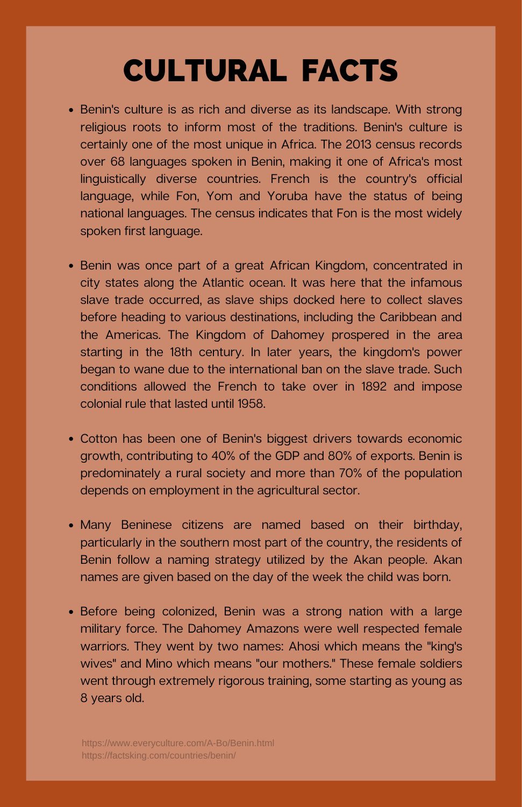## CULTURAL FACTS

- Benin's culture is as rich and diverse as its landscape. With strong religious roots to inform most of the traditions. Benin's culture is certainly one of the most unique in Africa. The 2013 census records over 68 languages spoken in Benin, making it one of Africa's most linguistically diverse countries. French is the country's official language, while Fon, Yom and Yoruba have the status of being national languages. The census indicates that Fon is the most widely spoken first language.
- Benin was once part of a great African Kingdom, concentrated in city states along the Atlantic ocean. It was here that the infamous slave trade occurred, as slave ships docked here to collect slaves before heading to various destinations, including the Caribbean and the Americas. The Kingdom of Dahomey prospered in the area starting in the 18th century. In later years, the kingdom's power began to wane due to the international ban on the slave trade. Such conditions allowed the French to take over in 1892 and impose colonial rule that lasted until 1958.
- Cotton has been one of Benin's biggest drivers towards economic growth, contributing to 40% of the GDP and 80% of exports. Benin is predominately a rural society and more than 70% of the population depends on employment in the agricultural sector.
- Many Beninese citizens are named based on their birthday, particularly in the southern most part of the country, the residents of Benin follow a naming strategy utilized by the Akan people. Akan names are given based on the day of the week the child was born.
- Before being colonized, Benin was a strong nation with a large military force. The Dahomey Amazons were well respected female warriors. They went by two names: Ahosi which means the "king's wives" and Mino which means "our mothers." These female soldiers went through extremely rigorous training, some starting as young as 8 years old.

https://www.everyculture.com/A-Bo/Benin.html <https://factsking.com/countries/benin/>